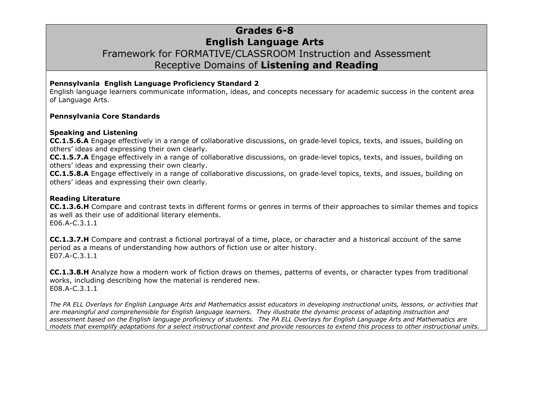## **Grades 6-8 English Language Arts** Framework for FORMATIVE/CLASSROOM Instruction and Assessment Receptive Domains of **Listening and Reading**

#### **Pennsylvania English Language Proficiency Standard 2**

English language learners communicate information, ideas, and concepts necessary for academic success in the content area of Language Arts.

#### **Pennsylvania Core Standards**

#### **Speaking and Listening**

**CC.1.5.6.A** Engage effectively in a range of collaborative discussions, on grade‐level topics, texts, and issues, building on others' ideas and expressing their own clearly.

**CC.1.5.7.A** Engage effectively in a range of collaborative discussions, on grade‐level topics, texts, and issues, building on others' ideas and expressing their own clearly.

**CC.1.5.8.A** Engage effectively in a range of collaborative discussions, on grade‐level topics, texts, and issues, building on others' ideas and expressing their own clearly.

#### **Reading Literature**

**CC.1.3.6.H** Compare and contrast texts in different forms or genres in terms of their approaches to similar themes and topics as well as their use of additional literary elements. [E06.A-C.3.1.1](http://www.pdesas.org/Standard/StandardsBrowser#161846?cf=y )

**CC.1.3.7.H** Compare and contrast a fictional portrayal of a time, place, or character and a historical account of the same period as a means of understanding how authors of fiction use or alter history. [E07.A-C.3.1.1](http://www.pdesas.org/Standard/StandardsBrowser#161933?cf=y )

**CC.1.3.8.H** Analyze how a modern work of fiction draws on themes, patterns of events, or character types from traditional works, including describing how the material is rendered new. [E08.A-C.3.1.1](http://www.pdesas.org/Standard/StandardsBrowser#162025?cf=y )

*The PA ELL Overlays for English Language Arts and Mathematics assist educators in developing instructional units, lessons, or activities that are meaningful and comprehensible for English language learners. They illustrate the dynamic process of adapting instruction and assessment based on the English language proficiency of students. The PA ELL Overlays for English Language Arts and Mathematics are models that exemplify adaptations for a select instructional context and provide resources to extend this process to other instructional units.*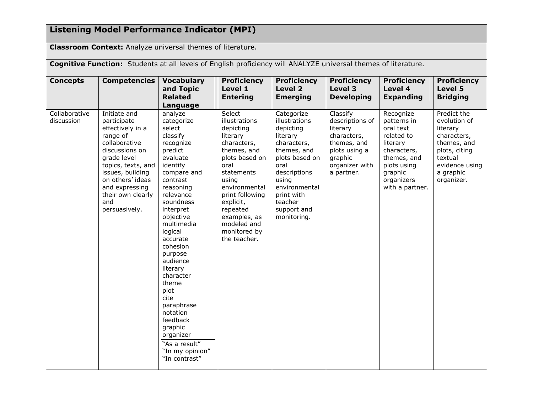# **Listening Model Performance Indicator (MPI)**

**Classroom Context:** Analyze universal themes of literature.

**Cognitive Function:** Students at all levels of English proficiency will ANALYZE universal themes of literature.

| <b>Concepts</b>             | <b>Competencies</b>                                                                                                                                                                                                                        | <b>Vocabulary</b><br>and Topic<br><b>Related</b><br>Language                                                                                                                                                                                                                                                                                                                                                                         | <b>Proficiency</b><br>Level 1<br><b>Entering</b>                                                                                                                                                                                                            | <b>Proficiency</b><br><b>Level 2</b><br><b>Emerging</b>                                                                                                                                                       | <b>Proficiency</b><br>Level 3<br><b>Developing</b>                                                                                | <b>Proficiency</b><br>Level 4<br><b>Expanding</b>                                                                                                        | <b>Proficiency</b><br>Level 5<br><b>Bridging</b>                                                                                               |
|-----------------------------|--------------------------------------------------------------------------------------------------------------------------------------------------------------------------------------------------------------------------------------------|--------------------------------------------------------------------------------------------------------------------------------------------------------------------------------------------------------------------------------------------------------------------------------------------------------------------------------------------------------------------------------------------------------------------------------------|-------------------------------------------------------------------------------------------------------------------------------------------------------------------------------------------------------------------------------------------------------------|---------------------------------------------------------------------------------------------------------------------------------------------------------------------------------------------------------------|-----------------------------------------------------------------------------------------------------------------------------------|----------------------------------------------------------------------------------------------------------------------------------------------------------|------------------------------------------------------------------------------------------------------------------------------------------------|
| Collaborative<br>discussion | Initiate and<br>participate<br>effectively in a<br>range of<br>collaborative<br>discussions on<br>grade level<br>topics, texts, and<br>issues, building<br>on others' ideas<br>and expressing<br>their own clearly<br>and<br>persuasively. | analyze<br>categorize<br>select<br>classify<br>recognize<br>predict<br>evaluate<br>identify<br>compare and<br>contrast<br>reasoning<br>relevance<br>soundness<br>interpret<br>objective<br>multimedia<br>logical<br>accurate<br>cohesion<br>purpose<br>audience<br>literary<br>character<br>theme<br>plot<br>cite<br>paraphrase<br>notation<br>feedback<br>graphic<br>organizer<br>"As a result"<br>"In my opinion"<br>"In contrast" | Select<br>illustrations<br>depicting<br>literary<br>characters,<br>themes, and<br>plots based on<br>oral<br>statements<br>using<br>environmental<br>print following<br>explicit,<br>repeated<br>examples, as<br>modeled and<br>monitored by<br>the teacher. | Categorize<br>illustrations<br>depicting<br>literary<br>characters,<br>themes, and<br>plots based on<br>oral<br>descriptions<br>using<br>environmental<br>print with<br>teacher<br>support and<br>monitoring. | Classify<br>descriptions of<br>literary<br>characters,<br>themes, and<br>plots using a<br>graphic<br>organizer with<br>a partner. | Recognize<br>patterns in<br>oral text<br>related to<br>literary<br>characters,<br>themes, and<br>plots using<br>graphic<br>organizers<br>with a partner. | Predict the<br>evolution of<br>literary<br>characters,<br>themes, and<br>plots, citing<br>textual<br>evidence using<br>a graphic<br>organizer. |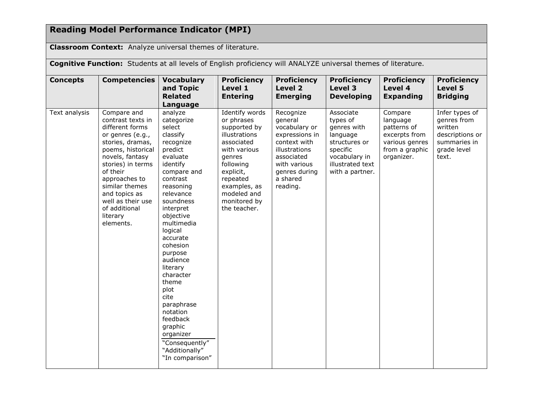# **Reading Model Performance Indicator (MPI)**

**Classroom Context:** Analyze universal themes of literature.

**Cognitive Function:** Students at all levels of English proficiency will ANALYZE universal themes of literature.

| <b>Concepts</b> | <b>Competencies</b>                                                                                                                                                                                                                                                                     | <b>Vocabulary</b><br>and Topic<br><b>Related</b><br>Language                                                                                                                                                                                                                                                                                                                                                                           | <b>Proficiency</b><br>Level 1<br><b>Entering</b>                                                                                                                                                           | <b>Proficiency</b><br>Level 2<br><b>Emerging</b>                                                                                                                | <b>Proficiency</b><br>Level 3<br><b>Developing</b>                                                                                    | <b>Proficiency</b><br>Level 4<br><b>Expanding</b>                                                     | <b>Proficiency</b><br>Level 5<br><b>Bridging</b>                                                    |
|-----------------|-----------------------------------------------------------------------------------------------------------------------------------------------------------------------------------------------------------------------------------------------------------------------------------------|----------------------------------------------------------------------------------------------------------------------------------------------------------------------------------------------------------------------------------------------------------------------------------------------------------------------------------------------------------------------------------------------------------------------------------------|------------------------------------------------------------------------------------------------------------------------------------------------------------------------------------------------------------|-----------------------------------------------------------------------------------------------------------------------------------------------------------------|---------------------------------------------------------------------------------------------------------------------------------------|-------------------------------------------------------------------------------------------------------|-----------------------------------------------------------------------------------------------------|
| Text analysis   | Compare and<br>contrast texts in<br>different forms<br>or genres (e.g.,<br>stories, dramas,<br>poems, historical<br>novels, fantasy<br>stories) in terms<br>of their<br>approaches to<br>similar themes<br>and topics as<br>well as their use<br>of additional<br>literary<br>elements. | analyze<br>categorize<br>select<br>classify<br>recognize<br>predict<br>evaluate<br>identify<br>compare and<br>contrast<br>reasoning<br>relevance<br>soundness<br>interpret<br>objective<br>multimedia<br>logical<br>accurate<br>cohesion<br>purpose<br>audience<br>literary<br>character<br>theme<br>plot<br>cite<br>paraphrase<br>notation<br>feedback<br>graphic<br>organizer<br>"Consequently"<br>"Additionally"<br>"In comparison" | Identify words<br>or phrases<br>supported by<br>illustrations<br>associated<br>with various<br>genres<br>following<br>explicit,<br>repeated<br>examples, as<br>modeled and<br>monitored by<br>the teacher. | Recognize<br>general<br>vocabulary or<br>expressions in<br>context with<br>illustrations<br>associated<br>with various<br>genres during<br>a shared<br>reading. | Associate<br>types of<br>genres with<br>language<br>structures or<br>specific<br>vocabulary in<br>illustrated text<br>with a partner. | Compare<br>language<br>patterns of<br>excerpts from<br>various genres<br>from a graphic<br>organizer. | Infer types of<br>genres from<br>written<br>descriptions or<br>summaries in<br>grade level<br>text. |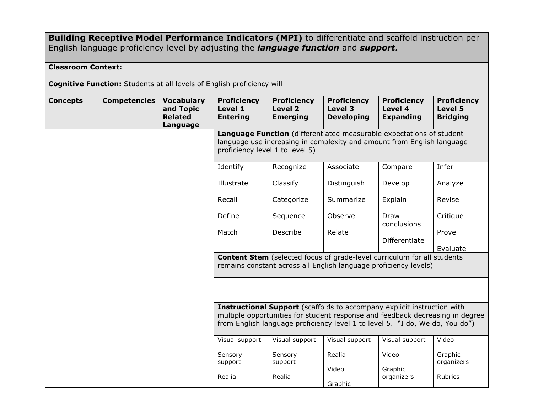### **Building Receptive Model Performance Indicators (MPI)** to differentiate and scaffold instruction per English language proficiency level by adjusting the *language function* and *support.*

### **Classroom Context:**

**Cognitive Function:** Students at all levels of English proficiency will

| <b>Concepts</b> | <b>Competencies</b> | <b>Vocabulary</b><br>and Topic<br><b>Related</b><br>Language | <b>Proficiency</b><br>Level 1<br><b>Entering</b>                                                                                                                                                                                                | <b>Proficiency</b><br>Level 2<br><b>Emerging</b> | <b>Proficiency</b><br>Level 3<br><b>Developing</b> | <b>Proficiency</b><br>Level 4<br><b>Expanding</b> | <b>Proficiency</b><br>Level 5<br><b>Bridging</b> |  |  |
|-----------------|---------------------|--------------------------------------------------------------|-------------------------------------------------------------------------------------------------------------------------------------------------------------------------------------------------------------------------------------------------|--------------------------------------------------|----------------------------------------------------|---------------------------------------------------|--------------------------------------------------|--|--|
|                 |                     |                                                              | Language Function (differentiated measurable expectations of student<br>language use increasing in complexity and amount from English language<br>proficiency level 1 to level 5)                                                               |                                                  |                                                    |                                                   |                                                  |  |  |
|                 |                     |                                                              | Identify                                                                                                                                                                                                                                        | Recognize                                        | Associate                                          | Compare                                           | Infer                                            |  |  |
|                 |                     |                                                              | Illustrate                                                                                                                                                                                                                                      | Classify                                         | Distinguish                                        | Develop                                           | Analyze                                          |  |  |
|                 |                     |                                                              | Recall                                                                                                                                                                                                                                          | Categorize                                       | Summarize                                          | Explain                                           | Revise                                           |  |  |
|                 |                     |                                                              | Define                                                                                                                                                                                                                                          | Sequence                                         | Observe                                            | Draw<br>conclusions                               | Critique                                         |  |  |
|                 |                     |                                                              | Match                                                                                                                                                                                                                                           | Describe                                         | Relate                                             | Differentiate                                     | Prove                                            |  |  |
|                 |                     |                                                              | Evaluate<br><b>Content Stem</b> (selected focus of grade-level curriculum for all students<br>remains constant across all English language proficiency levels)                                                                                  |                                                  |                                                    |                                                   |                                                  |  |  |
|                 |                     |                                                              |                                                                                                                                                                                                                                                 |                                                  |                                                    |                                                   |                                                  |  |  |
|                 |                     |                                                              | <b>Instructional Support</b> (scaffolds to accompany explicit instruction with<br>multiple opportunities for student response and feedback decreasing in degree<br>from English language proficiency level 1 to level 5. "I do, We do, You do") |                                                  |                                                    |                                                   |                                                  |  |  |
|                 |                     |                                                              | Visual support                                                                                                                                                                                                                                  | Visual support                                   | Visual support                                     | Visual support                                    | Video                                            |  |  |
|                 |                     |                                                              | Sensory<br>support                                                                                                                                                                                                                              | Sensory<br>support                               | Realia                                             | Video                                             | Graphic<br>organizers                            |  |  |
|                 |                     |                                                              | Realia                                                                                                                                                                                                                                          | Realia                                           | Video<br>Graphic                                   | Graphic<br>organizers                             | Rubrics                                          |  |  |